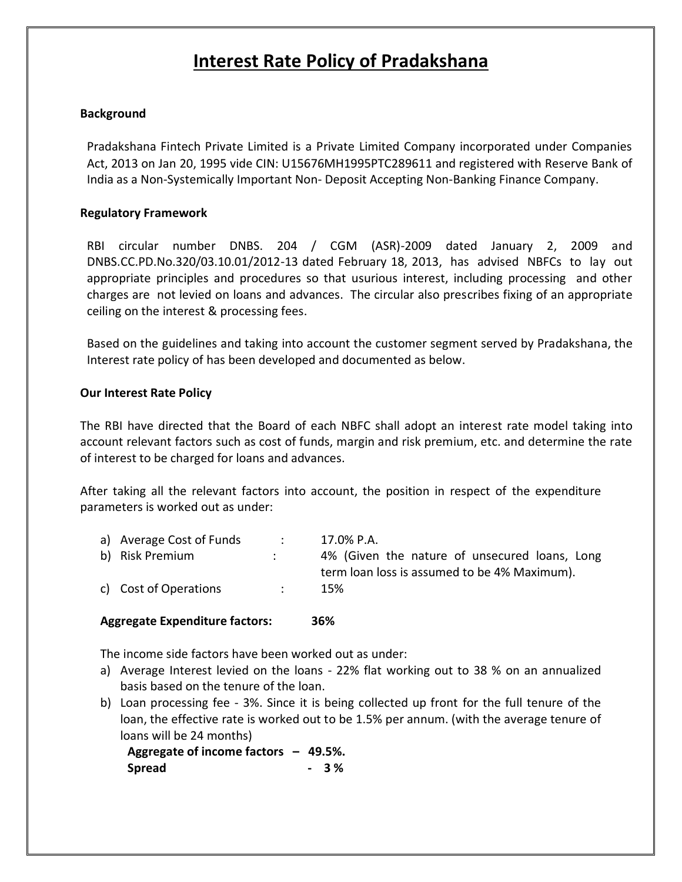# **Interest Rate Policy of Pradakshana**

## **Background**

Pradakshana Fintech Private Limited is a Private Limited Company incorporated under Companies Act, 2013 on Jan 20, 1995 vide CIN: U15676MH1995PTC289611 and registered with Reserve Bank of India as a Non-Systemically Important Non- Deposit Accepting Non-Banking Finance Company.

### **Regulatory Framework**

RBI circular number DNBS. 204 / CGM (ASR)-2009 dated January 2, 2009 and DNBS.CC.PD.No.320/03.10.01/2012-13 dated February 18, 2013, has advised NBFCs to lay out appropriate principles and procedures so that usurious interest, including processing and other charges are not levied on loans and advances. The circular also prescribes fixing of an appropriate ceiling on the interest & processing fees.

Based on the guidelines and taking into account the customer segment served by Pradakshana, the Interest rate policy of has been developed and documented as below.

#### **Our Interest Rate Policy**

The RBI have directed that the Board of each NBFC shall adopt an interest rate model taking into account relevant factors such as cost of funds, margin and risk premium, etc. and determine the rate of interest to be charged for loans and advances.

After taking all the relevant factors into account, the position in respect of the expenditure parameters is worked out as under:

| a) Average Cost of Funds | 17.0% P.A.                                    |
|--------------------------|-----------------------------------------------|
| b) Risk Premium          | 4% (Given the nature of unsecured loans, Long |
|                          | term loan loss is assumed to be 4% Maximum).  |
| c) Cost of Operations    | 15%                                           |

## **Aggregate Expenditure factors: 36%**

The income side factors have been worked out as under:

- a) Average Interest levied on the loans 22% flat working out to 38 % on an annualized basis based on the tenure of the loan.
- b) Loan processing fee 3%. Since it is being collected up front for the full tenure of the loan, the effective rate is worked out to be 1.5% per annum. (with the average tenure of loans will be 24 months)

**Aggregate of income factors – 49.5%.** Spread **- 3%**